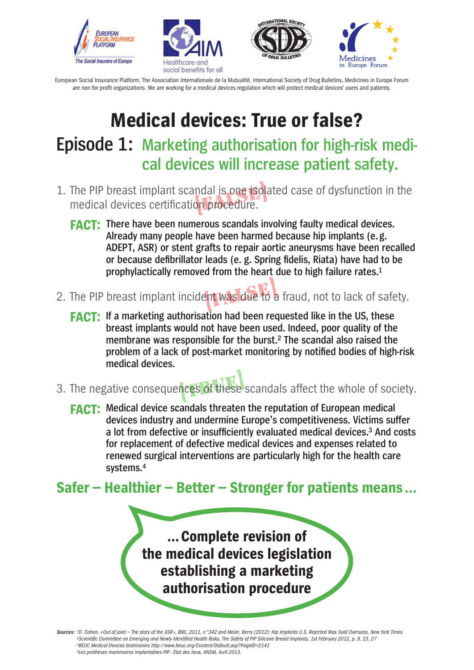







## **Medical devices: True or false? Episode 1: Marketing authorisation for high-risk medical devices will increase patient safety.**

- 1. The PIP breast implant scandal is one isolated case of dysfunction in the medical devices certification procedure. medical devices certification procedure.
	- **FACT: There have been numerous scandals involving faulty medical devices. Already many people have been harmed because hip implants (e. g. ADEPT, ASR) or stent grafts to repair aortic aneurysms have been recalled or because defibrillator leads (e. g. Spring fidelis, Riata) have had to be prophylactically removed from the heart due to high failure rates.1**
- 2. The PIP breast implant incident was due to a fraud, not to lack of safety. ent was due to
	- **FACT: If a marketing authorisation had been requested like in the US, these breast implants would not have been used. Indeed, poor quality of the membrane was responsible for the burst.2 The scandal also raised the problem of a lack of post-market monitoring by notified bodies of high-risk medical devices.**
- 3. The negative consequences of these scandals affect the whole of society. nces of these
	- **FACT: Medical device scandals threaten the reputation of European medical devices industry and undermine Europe's competitiveness. Victims suffer a lot from defective or insufficiently evaluated medical devices.3 And costs for replacement of defective medical devices and expenses related to renewed surgical interventions are particularly high for the health care systems.4**

### **Safer – Healthier – Better – Stronger for patients means…**

**…Complete revision of the medical devices legislation establishing a marketing authorisation procedure**

**Sources:** *1D. Cohen, «Out of joint – The story of the ASR », BMJ, 2011, n°342 and Meier, Berry (2012): Hip Implants U.S. Rejected Was Sold Overseas, New York Times 2Scientific Committee on Emerging and Newly Identified Health Risks, The Safety of PIP Silicone Breast Implants, 1st February 2012, p. 9, 23, 27 3BEUC Medical Devices testimonies http://www.beuc.org/Content/Default.asp?PageID=2141 4Les prothèses mammaires implantables PIP - État des lieux, ANSM, Avril 2013.*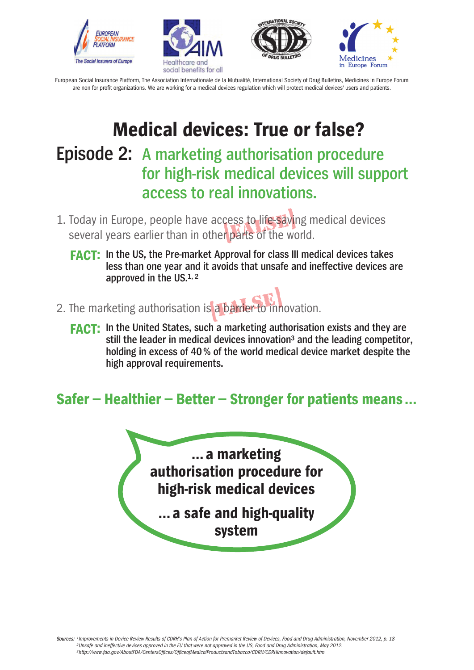







# **Medical devices: True or false?**

## **Episode 2: A marketing authorisation procedure for high-risk medical devices will support access to real innovations.**

- 1. Today in Europe, people have access to life-saving medical devices Today in Europe, people have access to life-saving n<br>several years earlier than in other parts of the world.
	- **FACT: In the US, the Pre-market Approval for class III medical devices takes less than one year and it avoids that unsafe and ineffective devices are approved in the US.1, 2**
- 2. The marketing authorisation is a barrier to innovation. a barrier to inn
	- **FACT: In the United States, such a marketing authorisation exists and they are still the leader in medical devices innovation3 and the leading competitor, holding in excess of 40% of the world medical device market despite the high approval requirements.**

### **Safer – Healthier – Better – Stronger for patients means…**

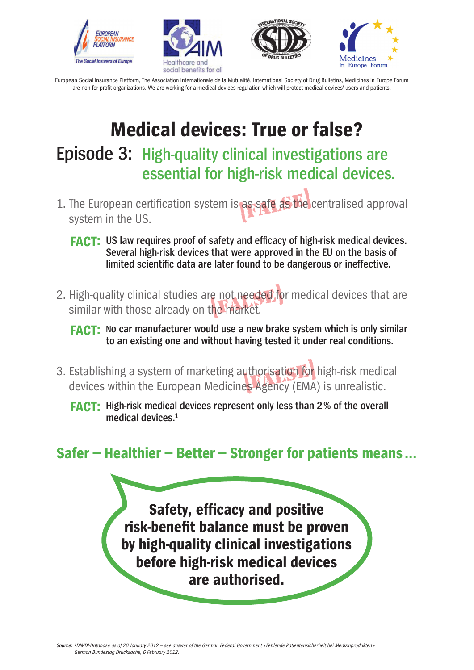







# **Medical devices: True or false? Episode 3: High-quality clinical investigations are essential for high-risk medical devices.**

- 1. The European certification system is as safe as the centralised approval system in the US. as safe as the
	- **FACT: US law requires proof of safety and efficacy of high-risk medical devices. Several high-risk devices that were approved in the EU on the basis of limited scientific data are later found to be dangerous or ineffective.**
- 2. High-quality clinical studies are not needed for medical devices that are similar with those already on the market. similar with those already on the market.

- 3. Establishing a system of marketing authorisation for high-risk medical devices within the European Medicines Agency (EMA) is unrealistic. uthorisation for<br>es Agency (EMA
	- **FACT: High-risk medical devices represent only less than 2% of the overall medical devices.1**

### **Safer – Healthier – Better – Stronger for patients means…**

**Safety, efficacy and positive risk-benefit balance must be proven by high-quality clinical investigations before high-risk medical devices are authorised.**

**FACT: No car manufacturer would use a new brake system which is only similar to an existing one and without having tested it under real conditions.**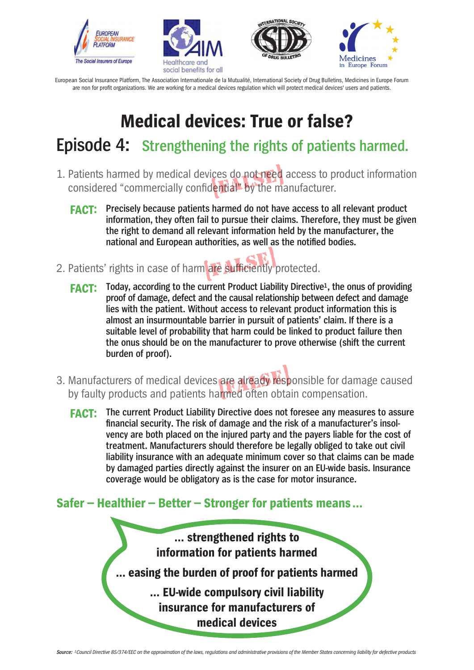







## **Medical devices: True or false?**

### **Episode 4: Strengthening the rights of patients harmed.**

- 1. Patients harmed by medical devices do not need access to product information considered "commercially confidential" by the manufacturer. considered "commercially confidential" by the manufacturer.
	- **FACT: Precisely because patients harmed do not have access to all relevant product information, they often fail to pursue their claims. Therefore, they must be given the right to demand all relevant information held by the manufacturer, the national and European authorities, as well as the notified bodies.**
- 2. Patients' rights in case of harm are sufficiently protected. are sufficiently
	- **FACT:** Today, according to the current Product Liability Directive<sup>1</sup>, the onus of providing **proof of damage, defect and the causal relationship between defect and damage lies with the patient. Without access to relevant product information this is almost an insurmountable barrier in pursuit of patients' claim. If there is a suitable level of probability that harm could be linked to product failure then the onus should be on the manufacturer to prove otherwise (shift the current burden of proof).**
- 3. Manufacturers of medical devices are already responsible for damage caused by faulty products and patients harmed often obtain compensation. are already resp
	- **FACT: The current Product Liability Directive does not foresee any measures to assure financial security. The risk of damage and the risk of a manufacturer's insolvency are both placed on the injured party and the payers liable for the cost of treatment. Manufacturers should therefore be legally obliged to take out civil liability insurance with an adequate minimum cover so that claims can be made by damaged parties directly against the insurer on an EU-wide basis. Insurance coverage would be obligatory as is the case for motor insurance.**

#### **Safer – Healthier – Better – Stronger for patients means…**

**… strengthened rights to information for patients harmed … easing the burden of proof for patients harmed … EU-wide compulsory civil liability insurance for manufacturers of medical devices**

```
Source: 1Council Directive 85/374/EEC on the approximation of the laws, regulations and administrative provisions of the Member States concerning liability for defective products
```